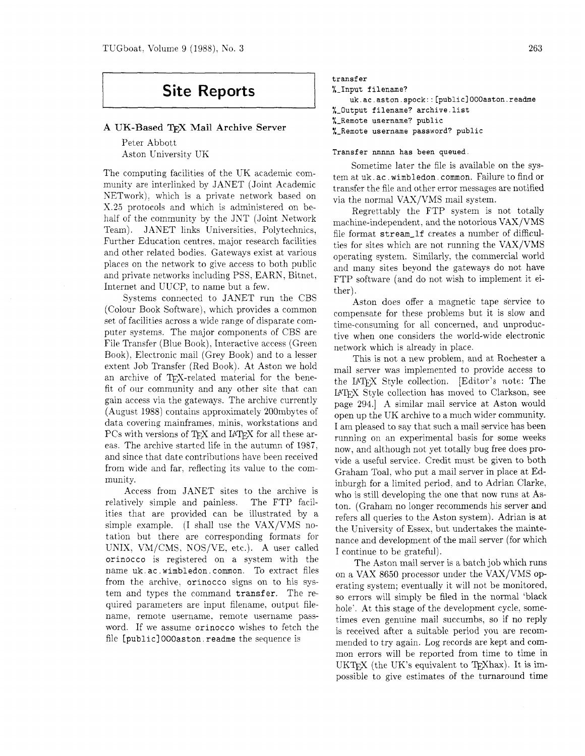# **Site Reports**

## **A UK-Based** TEX **Mail Archive Server**

Peter Abbott Aston University UK

The computing facilities of the UK academic community are interlinked by JANET (Joint Academic NETwork). which is a private network based on X.25 protocols and which is administered on behalf of the community by the JNT (Joint Network Team). JANET links Universities. Polytechnics, Further Education centres. major research facilities and other related bodies. Gateways exist at various places on the network to give access to both public and private networks including PSS. EARN. Bitnet, Internet and UUCP, to name but a few.

Systems connected to JANET run the CBS (Colour Book Software). which provides a common set of facilities across a wide range of disparate computer systems. The major components of CBS are File Transfer (Blue Book). Interactive access (Green Book). Electronic mail (Grey Book) and to a lesser extent Job Transfer (Red Book). At Aston we hold an archive of TFX-related material for the benefit of our community and any other site that can gain access via the gateways. The archive currently (August 1988) contains approximately 200mbytes of data covering mainframes. minis, workstations and PCs with versions of T<sub>FX</sub> and IAT<sub>FX</sub> for all these areas. The archive started life in the autumn of 1987, and since that date contributions have been received from wide and far, reflecting its value to the community.

Access from JANET sites to the archive is relatively simple and painless. The FTP facilities that are provided can be illustrated by a simple example. (I shall use the VAX/VMS notation but there are corresponding formats for UNIX. VM/CMS. NOS/VE. etc.). A user called **orinocco** is registered on a system with the name **uk. ac wimbledon common.** To extract files from the archive, orinocco signs on to his system and types the command **transfer.** The required parameters are input filename, output filename. remote username. remote username password. If we assume **orinocco** wishes to fetch the file **[publlc] 000aston. readme** the sequence is

```
transfer 
%-Input filename? 
    uk.ac.aston.spock::[public]000aston.readme 
%-Output filename? archive.list 
%-Remote username? public 
%-Remote username password? public
```
## **Transfer** nnnnn **has been queued.**

Sometime later the file is available on the system at uk. **ac** . **wimbledon common.** Failure to find or transfer the file and other error messages are notified via the normal VAX/VMS mail system.

Regrettably the FTP system is not totally machine-independent . and the notorious VAX/VMS file format **stream-lf** creates a number of difficulties for sites which are not running the VAX/VMS operating system. Similarly, the commercial world and many sites beyond the gateways do not have FTP software (and do not wish to implement it either).

Aston does offer a magnetic tape service to compensate for these problems but it is slow and time-consuming for all concerned. and unproductive when one considers the world-wide electronic network which is already in place.

This is not a new problem. and at Rochester a mail server was implemented to provide access to the IAT<sub>FX</sub> Style collection. [Editor's note: The IATEX Style collection has moved to Clarkson, see page 294.1 A similar mail service at Aston would open up the UK archive to a much wider community. I am pleased to say that such a mail service has been running on an experimental basis for some weeks now, and although not yet totally bug free does provide a useful service. Credit must be given to both Graham Toal, who put a mail server in place at Edinburgh for a limited period. and to Adrian Clarke. who is still developing the one that now runs at Aston. (Graham no longer recommends his server and refers all queries to the Aston system). Adrian is at the University of Essex. but undertakes the maintenance and development of the mail server (for which I continue to be grateful).

The Aston mail server is a batch job which runs on a VAX 8650 processor under the VAX/VMS operating system; eventually it will not be monitored. so errors will simply be filed in the normal 'black hole'. At this stage of the development cycle. sometimes even genuine mail succumbs, so if no reply is received after a suitable period you are recommended to try again. Log records are kept and common errors will be reported from time to time in UKTEX (the UK's equivalent to TEXhax). It is impossible to give estimates of the turnaround time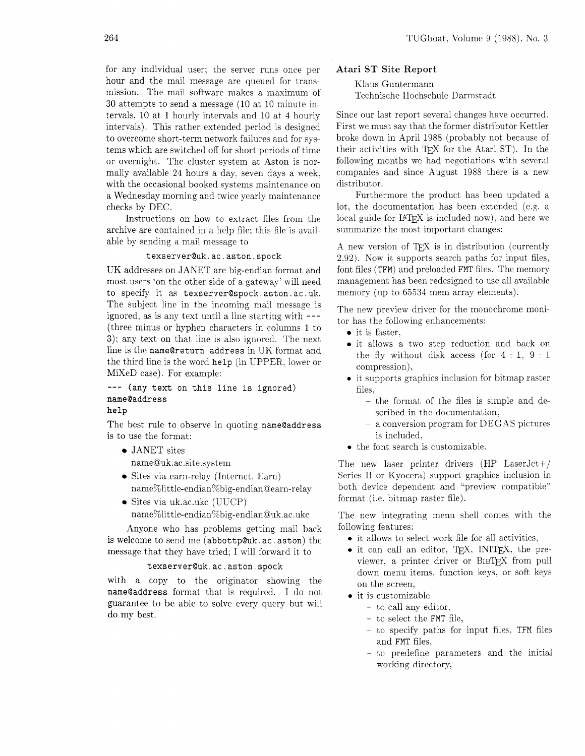for any individual user; the server runs once per hour and the mail message are queued for transmission. The mail software makes a maximum of 30 attempts to send a message (10 at 10 minute intervals. 10 at 1 hourly intervals and 10 at 4 hourly intervals). This rather extended period is designed to overcome short-term network failures and for systems which are switched off for short periods of time or overnight. The cluster system at Aston is normally available 24 hours a day. seven days a week. with the occasional booked systems maintenance on a Wednesday morning and twice yearly maintenance checks by DEC.

Instructions on how to extract files from the archive are contained in a help file: this file is available by sending a mail message to

#### texserver@uk.ac.aston.spock

UK addresses on JANET are big-endian format and most users 'on the other side of a gateway' will need to specify it as texserver@spock aston. ac . uk. The subject line in the incoming mail message is ignored, as is any text until a line starting with --- (three minus or hyphen characters in columns I to **3);** any text on that line is also ignored. The next line is the name@return address in UK format and the third line is the word help (in UPPER. lower or MiXeD case). For example:

--- (any text on this line is ignored) name@address

help

The best rule to observe in quoting name@address is to use the format:

- JANET sites name@uk.ac.site.system
- Sites via earn-relay (Internet. Earn) name%little-endian%big-endian@earn-relay
- Sites via uk.ac.ukc (UUCP) name%little-endian%big-endianQuk.ac.ukc

Anyone who has problems getting mail back is welcome to send me (abbottp@uk.ac.aston) the message that they have tried; I will forward it to

#### texserver@uk.ac.aston.spock

with a copy to the originator showing the name@address format that is required. I do not guarantee to be able to solve every query but will do my best.

### Atari ST Site Report

Klaus Guntermann Technische Hochschule Darmstadt

Since our last report several changes have occurred. First we must say that the former distributor Kettler broke down in April 1988 (probably not because of their activities with TEX for the Atari ST). In the following months we had negotiations with several companies and since August 1988 there is a new distributor.

Furthermore the product has been updated a lot, the documentation has been extended (e.g. a local guide for  $IATFX$  is included now), and here we summarize the most important changes:

A new version of TEX is in distribution (currently 2.92). Now it supports search paths for input files. font files (TFM) and preloaded FMT files. The memory management has been redesigned to use all available memory (up to  $65534$  mem array elements).

The new preview driver for the monochrome monitor has the following enhancements:

- $\bullet$  it is faster.
- it allows a two step reduction and back on the fly without disk access (for  $4:1, 9:1$ compression).
- 0 it supports graphics inclusion for bitmap raster files,
	- the format of the files is simple and described in the documentation,
	- a conversion program for DEGAS pictures is included,
- the font search is customizable.

The new laser printer drivers (HP LaserJet+/ Series I1 or Kyocera) support graphics inclusion in both device dependent and "preview compatible" format (i.e. bitmap raster file).

The new integrating menu shell comes with the following features:

- 0 it allows to select work file for all activities.
- $\bullet$  it can call an editor, T<sub>F</sub>X, INIT<sub>F</sub>X, the previewer, a printer driver or BIBTFX from pull down menu items. function keys. or soft keys on the screen,
- **0** it is customizable
	- to call any editor.
	- to select the FMT file,
	- to specify paths for input files, TFM files and FMT files.
	- to predefine parameters and the initial working directory,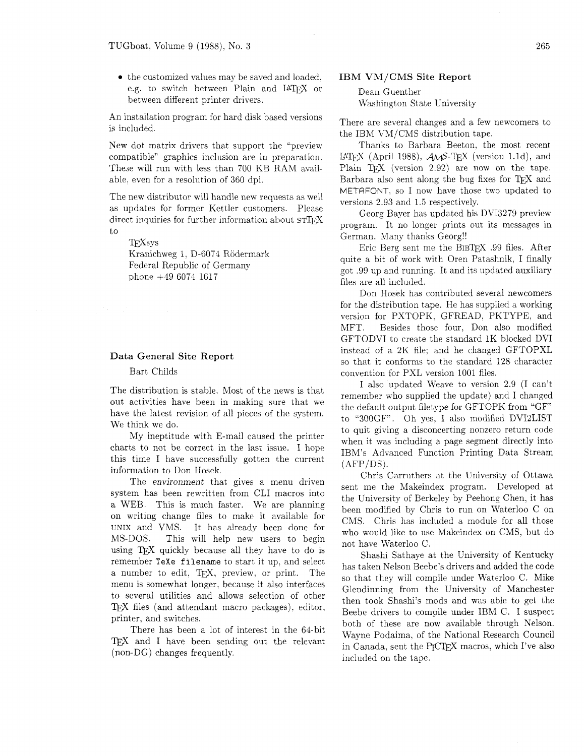• the customized values may be saved and loaded, e.g. to switch between Plain and IATFX or between different printer drivers.

An installation program for hard disk based versions is included.

New dot matrix drivers that support the "preview compatible" graphics inclusion are in preparation. These will run with less than 700 KB RAM available. even for a resolution of 360 dpi.

The new distributor will handle new requests as well as updates for former Kettler customers. Please direct inquiries for further information about STIFX to

T<sub>F</sub>Xsys

Kranichweg 1, D-6074 Rödermark Federal Republic of Germany phone +49 6074 1617

## Data General Site Report

#### Bart Childs

The distribution is stable. Most of the news is that out activities have been in making sure that we have the latest revision of all pieces of the system. We think we do.

My ineptitude with E-mail caused the printer charts to not be correct in the last issue. I hope this time I have successfully gotten the current information to Don Hosek.

The environment that gives a menu driven system has been rewritten from CLI macros into a WEB. This is much faster. We are planning on writing change files to make it available for UNIX and VMS. It has already been done for MS-DOS. This will help new users to begin using TFX quickly because all they have to do is remember **TeXe** filename to start it up. and select a number to edit, TEX, preview, or print. The menu is somewhat longer. because it also interfaces to several utilities and allows selection of other TEX files (and attendant macro packages), editor, printer, and switches.

There has been a lot of interest in the 64-bit TEX and I have been sending out the relevant (non-DG) changes frequently.

#### IBM VM/CMS Site Report

Dean Guenther Washington State University

There are several changes and a few newcomers to the IBM VM/CMS distribution tape.

Thanks to Barbara Beeton, the most recent IAT<sub>F</sub>X (April 1988),  $A\mathcal{M}S$ -T<sub>F</sub>X (version 1.1d), and Plain TFX (version 2.92) are now on the tape. Barbara also sent along the bug fixes for TEX and METRFONT, so I now have those two updated to versions 2.93 and 1.5 respectively.

Georg Bayer has updated his DVI3279 preview program. It no longer prints out its messages in German. Many thanks Georg!!

Eric Berg sent me the BIBTFX .99 files. After quite a bit of work with Oren Patashnik, I finally got .99 up and running. It and its updated auxiliary files are all included.

Don Hosek has contributed several newcomers for the distribution tape. He has supplied a working version for PXTOPK. GFREAD. PKTYPE, and MFT. Besides those four, Don also modified GFTODVI to create the standard 1K blocked DVI instead of a 2K file; and he changed GFTOPXL so that it conforms to the standard 128 character convention for PXL version 1001 files.

I also updated Weave to version 2.9 (I can't remember who supplied the update) and I changed the default output filetype for GFTOPK from "GF" to "300GF". Oh yes, I also modified DVI2LIST to quit giving a disconcerting nonzero return code when it was including a page segment directly into IBM's Advanced Function Printing Data Stream  $(AFP/DS)$ .

Chris Carruthers at the University of Ottawa sent me the Makeindex program. Developed at the University of Berkeley by Peehong Chen. it has been modified by Chris to run on Waterloo C on CMS. Chris has included a module for all those who would like to use Makeindex on CMS, but do not have Waterloo C.

Shashi Sathaye at the University of Kentucky has taken Kelson Beebe's drivers and added the code so that they will compile under Waterloo C. Mike Glendinning from the University of Manchester then took Shashi's mods and was able to get the Beebe drivers to compile under IBM C. I suspect both of these are now available through Nelson. Wayne Podaima, of the National Research Council in Canada, sent the P<sub>I</sub>CIEX macros, which I've also included on the tape.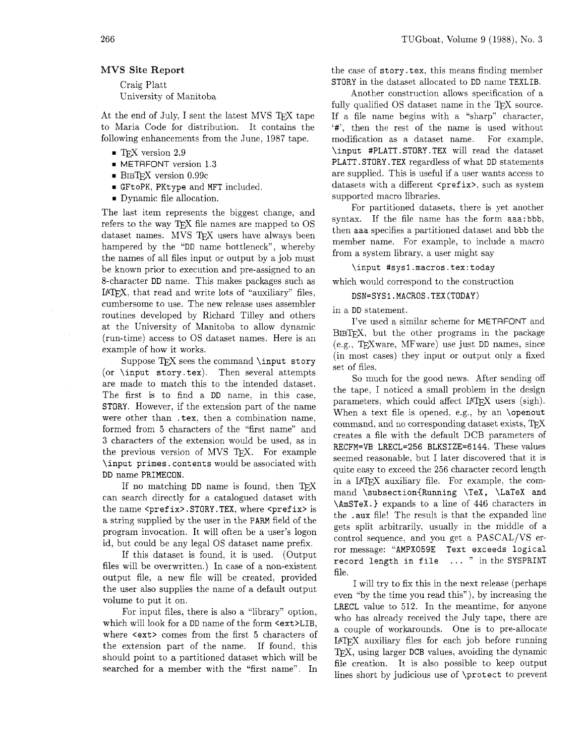## MVS Site Report

Craig Platt University of Manitoba

At the end of July, I sent the latest MVS TFX tape to Maria Code for distribution. It contains the following enhancements from the June, 1987 tape.

- = TEX version 2.9
- = METAFONT version 1.3
- $\blacksquare$  BIBTFX version 0.99 $c$
- = GFtoPK, PKtype and MFT included.
- = Dynamic file allocation.

The last item represents the biggest change, and refers to the way TFX file names are mapped to OS dataset names. MVS TFX users have always been hampered by the "DD name bottleneck", whereby the names of all files input or output by a job must be known prior to execution and pre-assigned to an 8-character DD name. This makes packages such as IATFX, that read and write lots of "auxiliary" files, cumbersome to use. The new release uses assembler routines developed by Richard Tilley and others at the University of Manitoba to allow dynamic (run-time) access to OS dataset names. Here is an example of how it works.

Suppose  $TFX$  sees the command  $\in$ (or \input story. tex). Then several attempts are made to match this to the intended dataset. The first is to find a DD name, in this case, STORY. However. if the extension part of the name were other than . tex. then a combination name, formed from 5 characters of the "first name" and 3 characters of the extension would be used, as in the previous version of MVS TFX. For example \input primes. contents would be associated with DD name PRIMECON.

If no matching  $DD$  name is found, then  $TFX$ can search directly for a catalogued dataset with the name <prefix>.STORY.TEX, where <prefix> is a string supplied by the user in the PARM field of the program invocation. It will often be a user's logon id, but could be any legal OS dataset name prefix.

If this dataset is found, it is used. (Output files will be overwritten.) In case of a non-existent output file, a new file will be created. provided the user also supplies the name of a default output volume to put it on.

For input files, there is also a "library" option, which will look for a DD name of the form  $\texttt{&}$   $\texttt{&}$ where  $\texttt{~text>~}$  comes from the first 5 characters of the extension part of the name. If found, this should point to a partitioned dataset which will be searched for a member with the "first name". In the case of story .tex, this means finding member STORY in the dataset allocated to DD name TEXLIB.

Another construction allows specification of a fully qualified OS dataset name in the  $T_F X$  source. If a file name begins with a "sharp" character, '#', then the rest of the name is used without modification as a dataset name. For example, \input #PLATT . STORY. TEX will read the dataset PLATT . STORY. TEX regardless of what DD statements are supplied. This is useful if a user wants access to datasets with a different <prefix>, such as system supported macro libraries.

For partitioned datasets, there is yet another syntax. If the file name has the form aaa: bbb, then aaa specifies a partitioned dataset and bbb the member name. For example, to include a macro from a system library, a user might say

#### \input #sysl.macros.tex:today

which would correspond to the construction

#### **DSN=SYSl.MACROS.TEX(TODAY)**

in a DD statement.

I've used a similar scheme for METAFONT and BIBTFX, but the other programs in the package  $(e.g., TFXware, MFware)$  use just DD names, since (in most cases) they input or output only a fixed set of files.

So much for the good news. After sending off the tape, I noticed a small problem in the design parameters, which could affect IATFX users (sigh). When a text file is opened, e.g.. by an \openout command, and no corresponding dataset exists. T $\cancel{F}X$ creates a file with the default DCB parameters of RECFM=VB LRECL=256 BLKSIZE=6144. These values seemed reasonable, but I later discovered that it is quite easy to exceed the 256 character record length in a IATFX auxiliary file. For example, the command \subsection{Running \TeX, \LaTeX and \AmSTeX.) expands to a line of 446 characters in the . aux file! The result is that the expanded line gets split arbitrarily, usually in the middle of a control sequence, and you get a PASCAL/VS error message: "AMPX059E Text exceeds logical record length in file ... " in the SYSPRINT file.

I will try to fix this in the next release (perhaps even "by the time you read this"), by increasing the LRECL value to 512. In the meantime, for anyone who has already received the July tape, there are a couple of workarounds. One is to pre-allocate I4W auxiliary files for each job before running TEX, using larger DCB values, avoiding the dynamic file creation. It is also possible to keep output lines short by judicious use of \protect to prevent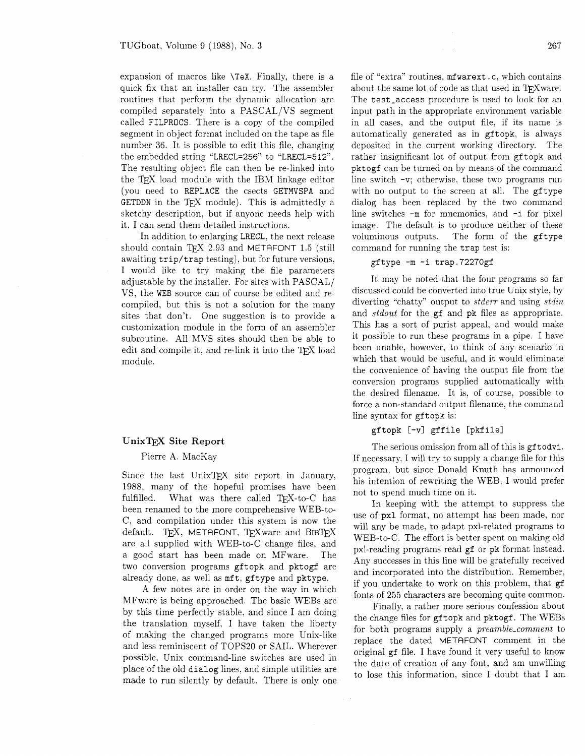expansion of macros like **\TeX.** Finally, there is a quick fix that an installer can try. The assembler routines that perform the dynamic allocation are compiled separately into a PASCAL/VS segment called FILPROCS. There is a copy of the compiled segment in object format included on the tape as file number 36. It is possible to edit this file. changing the embedded string "LRECL=256" to "LRECL=512". The resulting object file can then be re-linked into the TEX load module with the IBM linkage editor (you need to REPLACE the csects GETMVSPA and GETDDN in the TFX module). This is admittedly a sketchy description. but if anyone needs help with it. I can send them detailed instructions.

In addition to enlarging LRECL. the next release should contain TEX 2.93 and METAFONT 1.5 (still awaiting trip/trap testing). but for future versions, I would like to try making the file parameters adjustable by the installer. For sites with PASCAL/ VS, the WEB source can of course be edited and recompiled, but this is not a solution for the many sites that don't. One suggestion is to provide a customization module in the form of an assembler subroutine. All MVS sites should then be able to edit and compile it, and re-link it into the T<sub>E</sub>X load module.

## $UnixTeX$  Site Report

#### Pierre A. MacKay

Since the last UnixTFX site report in January, 1988, many of the hopeful promises have been fulfilled. What was there called TEX-to-C has been renamed to the more comprehensive WEB-to-C, and compilation under this system is now the default. TFX, METAFONT, TFXware and BIBTFX are all supplied with WEB-to-C change files, and a good start has been made on MFware. The two conversion programs gftopk and pktogf are already done, as well as mft, gftype and pktype.

A few notes are in order on the way in which MFware is being approached. The basic WEBs are by this time perfectly stable, and since I am doing the translation myself, I have taken the liberty of making the changed programs more Unix-like and less reminiscent of TOPS20 or SAIL. Wherever possible, Unix command-line switches are used in place of the old dialog lines, and simple utilities are made to run silently by default. There is only one file of "extra" routines. mfwarext . c, which contains about the same lot of code as that used in TFXware. The test-access procedure is used to look for an input path in the appropriate environment variable in all cases, and the output file, if its name is automatically generated as in gftopk. is always deposited in the current working directory. The rather insignificant lot of output from gftopk and pktogf can be turned on by means of the command line switch  $-v$ ; otherwise, these two programs run with no output to the screen at all. The gftype dialog has been replaced by the two command line switches **-m** for mnemonics, and -i for pixel image. The default is to produce neither of these voluminous outputs. The form of the gftype command for running the trap test is:

## gftype -m -i trap.72270gf

It may be noted that the four programs so far discussed could be converted into true Unix style, by diverting "chatty" output to *stderr* and using *stdin* and *stdout* for the gf and pk files as appropriate. This has a sort of purist appeal, and would make it possible to run these programs in a pipe. I have been unable, however, to think of any scenario in which that would be useful. and it would eliminate the convenience of having the output file from the conversion programs supplied automatically with the desired filename. It is. of course. possible to force a non-standard output filename, the command line syntax for gftopk is:

#### gftopk [-v] gffile [pkfile]

The serious omission from all of this is gftodvi. If necessary, I will try to supply a change file for this program, but since Donald Knuth has announced his intention of rewriting the WEB, I would prefer not to spend much time on it.

In keeping with the attempt to suppress the use of pxl format, no attempt has been made, nor will any be made, to adapt pxl-related programs to WEB-to-C. The effort is better spent on making old pxl-reading programs read gf or pk format instead. Any successes in this line will be gratefully received and incorporated into the distribution. Remember, if you undertake to work on this problem, that gf fonts of 255 characters are becoming quite common.

Finally, a rather more serious confession about the change files for gf topk and pktogf. The WEBs for both programs supply a *preamble-comment* to replace the dated METRFONT comment in the original gf file. I have found it very useful to know the date of creation of any font, and am unwilling to lose this information, since I doubt that I am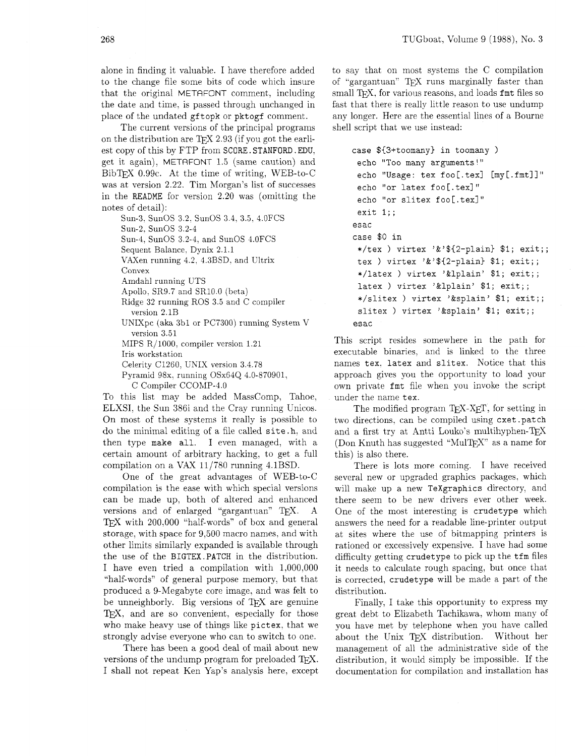alone in finding it valuable. I have therefore added to the change file some bits of code which insure that the original METAFONT comment, including the date and time, is passed through unchanged in place of the undated gftopk or pktogf comment.

The current versions of the principal programs on the distribution are TEX 2.93 (if you got the earliest copy of this by FTP from SCORE. STANFORD. EDU. get it again), METRFONT 1.5 (same caution) and BibTEX 0.99c. At the time of writing, WEB-to-C was at version 2.22. Tim Morgan's list of successes in the README for version 2.20 was (omitting the notes of detail):

Sun-3. SunOS 3.2. SunOS 3 4, *3.5.* 4.0FCS Sun-2. SunOS 3.2-4 Sun-4. SunOS 3.2-4. and SunOS 4.OFCS Sequent Balance. Dynix 2.1.1 VAXen running 4.2, 4.3BSD. and Ultrix Convex Amdahl running UTS Apollo. SR9.7 and SR1O.O (beta) Ridge 32 running ROS 3.5 and C compiler version 2.1B UNIXpc (aka 3bl or PC7300) running System V version 3.51 MIPS R/1000. compiler version 1.21 Iris workstation Celerity C1260, UNIX version 3.4.78 Pyramid 98x. running OSx64Q 4.0-870901,

C Compiler CCOMP-4.0

To this list may be added MassComp. Tahoe, ELXSI, the Sun 386i and the Cray running Unicos. On most of these systems it really is possible to do the minimal editing of a file called site .h. and then type make all. I even managed, with a certain amount of arbitrary hacking, to get a full compilation on a VAX 11/780 running 4.1BSD.

One of the great advantages of WEB-to-C compilation is the ease with which special versions can be made up, both of altered and enhanced versions and of enlarged "gargantuan" TEX. A TEX with  $200,000$  "half-words" of box and general storage. with space for 9,500 macro names, and with other limits similarly expanded is available through the use of the BIGTEX .PATCH in the distribution. I have even tried a compilation with 1.000,000 "half-words" of general purpose memory, but that produced a 9-Megabyte core image, and was felt to be unneighborly. Big versions of  $T_{\rm F}X$  are genuine TEX, and are so convenient, especially for those who make heavy use of things like pictex. that we strongly advise everyone who can to switch to one.

There has been a good deal of mail about new versions of the undump program for preloaded TFX. I shall not repeat Ken Yap's analysis here, except to say that on most systems the C compilation of "gargantuan" TEX runs marginally faster than small T<sub>F</sub>X, for various reasons, and loads fmt files so fast that there is really little reason to use undump any longer. Here are the essential lines of a Bourne shell script that we use instead:

```
case ${3+toomany) in toomany ) 
 echo "Too many arguments!"
 echo "Usage: tex foo[.tex] [my[.fmt]]"
 echo "or latex foo[.tex]" 
 echo "or slitex foo[.tex]"
 exit 1;;
esac 
case $0 in 
 */tex ) virtex '&'${2-plain} $1; exit;;
 tex ) virtex '&'${2-plain) $1; exit;; 
 */latex ) virtex '&lplain' $1; exit;; 
 latex ) virtex '&lplain' $1; exit;;
 */slitex ) virtex '&splain' $1; exit;; 
 slitex ) virtex '&splain' $1; exit;;
esac
```
This script resides somewhere in the path for executable binaries. and is linked to the three names tex. latex and slitex. Notice that this approach gives you the opportunity to load your own private fmt file when you invoke the script under the name tex.

The modified program  $T_{F}X$ - $X_{F}T$ , for setting in two directions, can be compiled using cxet .patch and a first try at Antti Louko's multihyphen- $T_{E}X$ (Don Knuth has suggested "MulTFX" as a name for this) is also there.

There is lots more coming. I have received several new or upgraded graphics packages, which will make up a new TeXgraphics directory. and there seem to be new drivers ever other week. One of the most interesting is crudetype which answers the need for a readable line-printer output at sites where the use of bitmapping printers is rationed or excessively expensive. I have had some difficulty getting crudetype to pick up the tfm files it needs to calculate rough spacing, but once that is corrected, crudetype will be made a part of the distribution.

Finally, I take this opportunity to express my great debt to Elizabeth Tachikawa. whom many of you have met by telephone when you have called about the Unix TFX distribution. Without her management of all the administrative side of the distribution, it would simply be impossible. If the documentation for compilation and installation has